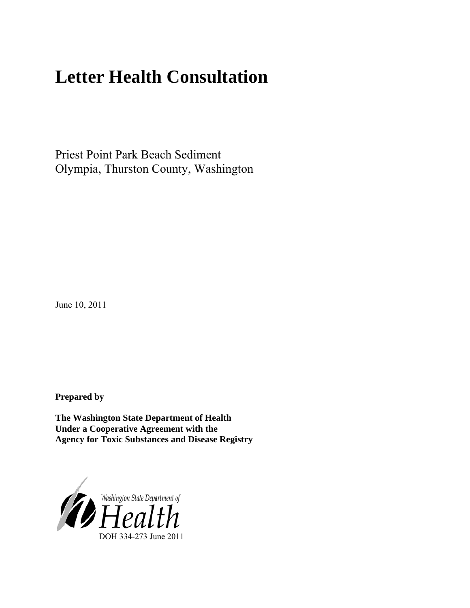# **Letter Health Consultation**

Priest Point Park Beach Sediment Olympia, Thurston County, Washington

June 10, 2011

**Prepared by** 

**The Washington State Department of Health Under a Cooperative Agreement with the Agency for Toxic Substances and Disease Registry**

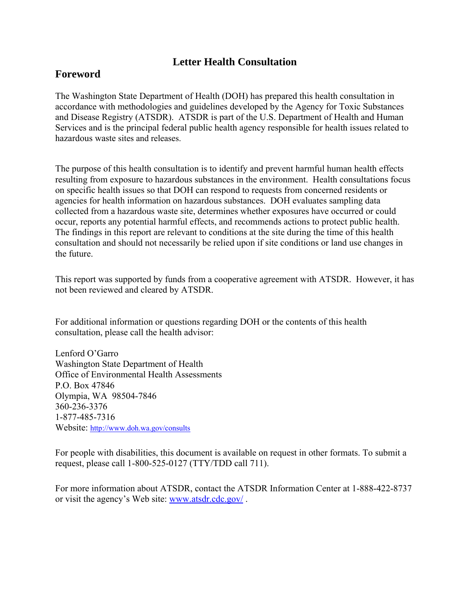## **Letter Health Consultation**

### **Foreword**

The Washington State Department of Health (DOH) has prepared this health consultation in accordance with methodologies and guidelines developed by the Agency for Toxic Substances and Disease Registry (ATSDR). ATSDR is part of the U.S. Department of Health and Human Services and is the principal federal public health agency responsible for health issues related to hazardous waste sites and releases.

The purpose of this health consultation is to identify and prevent harmful human health effects resulting from exposure to hazardous substances in the environment. Health consultations focus on specific health issues so that DOH can respond to requests from concerned residents or agencies for health information on hazardous substances. DOH evaluates sampling data collected from a hazardous waste site, determines whether exposures have occurred or could occur, reports any potential harmful effects, and recommends actions to protect public health. The findings in this report are relevant to conditions at the site during the time of this health consultation and should not necessarily be relied upon if site conditions or land use changes in the future.

This report was supported by funds from a cooperative agreement with ATSDR. However, it has not been reviewed and cleared by ATSDR.

For additional information or questions regarding DOH or the contents of this health consultation, please call the health advisor:

Lenford O'Garro Washington State Department of Health Office of Environmental Health Assessments P.O. Box 47846 Olympia, WA 98504-7846 360-236-3376 1-877-485-7316 Website:<http://www.doh.wa.gov/consults>

For people with disabilities, this document is available on request in other formats. To submit a request, please call 1-800-525-0127 (TTY/TDD call 711).

For more information about ATSDR, contact the ATSDR Information Center at 1-888-422-8737 or visit the agency's Web site: [www.atsdr.cdc.gov/](www.atsdr.cdc.gov) .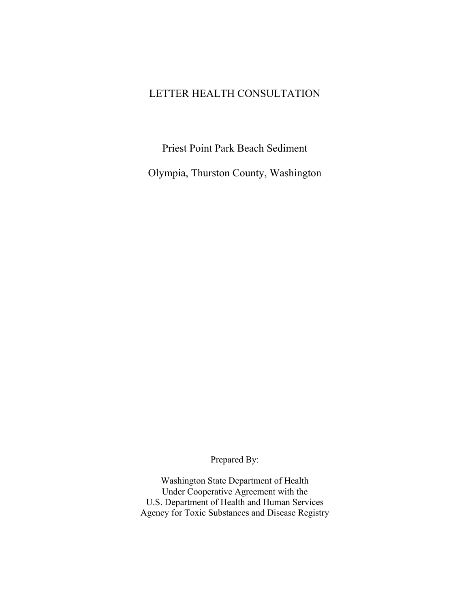## LETTER HEALTH CONSULTATION

Priest Point Park Beach Sediment

Olympia, Thurston County, Washington

Prepared By:

Washington State Department of Health Under Cooperative Agreement with the U.S. Department of Health and Human Services Agency for Toxic Substances and Disease Registry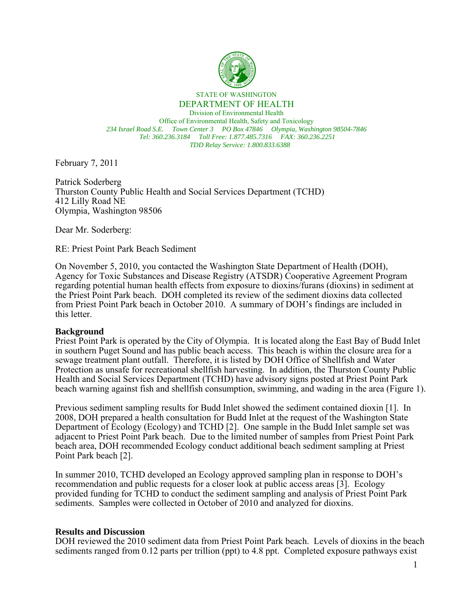

STATE OF WASHINGTON DEPARTMENT OF HEALTH

Division of Environmental Health Office of Environmental Health, Safety and Toxicology *234 Israel Road S.E. Town Center 3 PO Box 47846 Olympia, Washington 98504-7846 Tel: 360.236.3184 Toll Free: 1.877.485.7316 FAX: 360.236.2251 TDD Relay Service: 1.800.833.6388*

February 7, 2011

Patrick Soderberg Thurston County Public Health and Social Services Department (TCHD) 412 Lilly Road NE Olympia, Washington 98506

Dear Mr. Soderberg:

RE: Priest Point Park Beach Sediment

On November 5, 2010, you contacted the Washington State Department of Health (DOH), Agency for Toxic Substances and Disease Registry (ATSDR) Cooperative Agreement Program regarding potential human health effects from exposure to dioxins/furans (dioxins) in sediment at the Priest Point Park beach. DOH completed its review of the sediment dioxins data collected from Priest Point Park beach in October 2010. A summary of DOH's findings are included in this letter.

#### **Background**

Priest Point Park is operated by the City of Olympia. It is located along the East Bay of Budd Inlet in southern Puget Sound and has public beach access. This beach is within the closure area for a sewage treatment plant outfall. Therefore, it is listed by DOH Office of Shellfish and Water Protection as unsafe for recreational shellfish harvesting. In addition, the Thurston County Public Health and Social Services Department (TCHD) have advisory signs posted at Priest Point Park beach warning against fish and shellfish consumption, swimming, and wading in the area (Figure 1).

Previous sediment sampling results for Budd Inlet showed the sediment contained dioxin [1]. In 2008, DOH prepared a health consultation for Budd Inlet at the request of the Washington State Department of Ecology (Ecology) and TCHD [2]. One sample in the Budd Inlet sample set was adjacent to Priest Point Park beach. Due to the limited number of samples from Priest Point Park beach area, DOH recommended Ecology conduct additional beach sediment sampling at Priest Point Park beach [2].

In summer 2010, TCHD developed an Ecology approved sampling plan in response to DOH's recommendation and public requests for a closer look at public access areas [3]. Ecology provided funding for TCHD to conduct the sediment sampling and analysis of Priest Point Park sediments. Samples were collected in October of 2010 and analyzed for dioxins.

#### **Results and Discussion**

DOH reviewed the 2010 sediment data from Priest Point Park beach. Levels of dioxins in the beach sediments ranged from 0.12 parts per trillion (ppt) to 4.8 ppt. Completed exposure pathways exist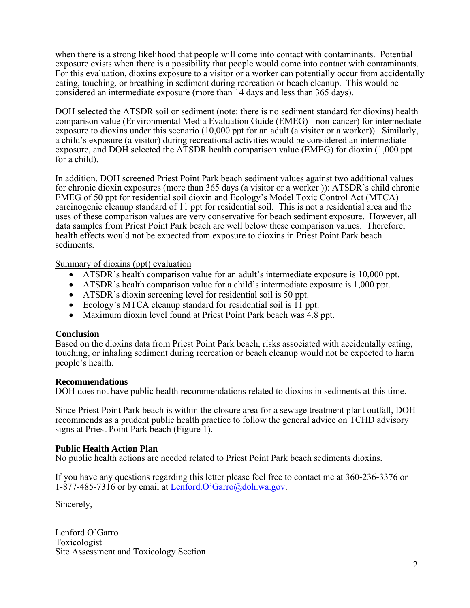when there is a strong likelihood that people will come into contact with contaminants. Potential exposure exists when there is a possibility that people would come into contact with contaminants. For this evaluation, dioxins exposure to a visitor or a worker can potentially occur from accidentally eating, touching, or breathing in sediment during recreation or beach cleanup. This would be considered an intermediate exposure (more than 14 days and less than 365 days).

DOH selected the ATSDR soil or sediment (note: there is no sediment standard for dioxins) health comparison value (Environmental Media Evaluation Guide (EMEG) - non-cancer) for intermediate exposure to dioxins under this scenario (10,000 ppt for an adult (a visitor or a worker)). Similarly, a child's exposure (a visitor) during recreational activities would be considered an intermediate exposure, and DOH selected the ATSDR health comparison value (EMEG) for dioxin (1,000 ppt for a child).

In addition, DOH screened Priest Point Park beach sediment values against two additional values for chronic dioxin exposures (more than 365 days (a visitor or a worker )): ATSDR's child chronic EMEG of 50 ppt for residential soil dioxin and Ecology's Model Toxic Control Act (MTCA) carcinogenic cleanup standard of 11 ppt for residential soil. This is not a residential area and the uses of these comparison values are very conservative for beach sediment exposure. However, all data samples from Priest Point Park beach are well below these comparison values. Therefore, health effects would not be expected from exposure to dioxins in Priest Point Park beach sediments.

Summary of dioxins (ppt) evaluation

- ATSDR's health comparison value for an adult's intermediate exposure is 10,000 ppt.
- ATSDR's health comparison value for a child's intermediate exposure is 1,000 ppt.
- ATSDR's dioxin screening level for residential soil is 50 ppt.
- Ecology's MTCA cleanup standard for residential soil is 11 ppt.
- Maximum dioxin level found at Priest Point Park beach was 4.8 ppt.

#### **Conclusion**

Based on the dioxins data from Priest Point Park beach, risks associated with accidentally eating, touching, or inhaling sediment during recreation or beach cleanup would not be expected to harm people's health.

#### **Recommendations**

DOH does not have public health recommendations related to dioxins in sediments at this time.

Since Priest Point Park beach is within the closure area for a sewage treatment plant outfall, DOH recommends as a prudent public health practice to follow the general advice on TCHD advisory signs at Priest Point Park beach (Figure 1).

#### **Public Health Action Plan**

No public health actions are needed related to Priest Point Park beach sediments dioxins.

If you have any questions regarding this letter please feel free to contact me at 360-236-3376 or 1-877-485-7316 or by email at Lenford.O'Garro@doh.wa.gov.

Sincerely,

Lenford O'Garro Toxicologist Site Assessment and Toxicology Section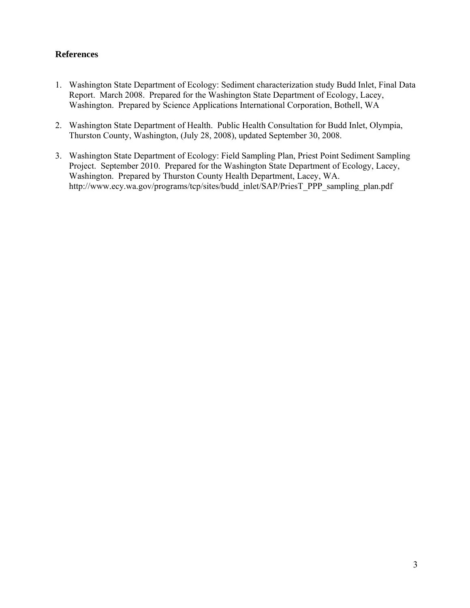#### **References**

- 1. Washington State Department of Ecology: Sediment characterization study Budd Inlet, Final Data Report. March 2008. Prepared for the Washington State Department of Ecology, Lacey, Washington. Prepared by Science Applications International Corporation, Bothell, WA
- 2. Washington State Department of Health. Public Health Consultation for Budd Inlet, Olympia, Thurston County, Washington, (July 28, 2008), updated September 30, 2008.
- 3. Washington State Department of Ecology: Field Sampling Plan, Priest Point Sediment Sampling Project. September 2010. Prepared for the Washington State Department of Ecology, Lacey, Washington. Prepared by Thurston County Health Department, Lacey, WA. http://www.ecy.wa.gov/programs/tcp/sites/budd\_inlet/SAP/PriesT\_PPP\_sampling\_plan.pdf